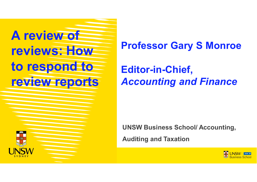

**Professor Gary S Monroe**

# **Editor-in-Chief,**  *Accounting and Finance*

**UNSW Business School/ Accounting,** 

**Auditing and Taxation**

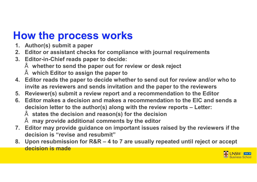# **How the process works**

- **1. Author(s) submit a paper**
- **2. Editor or assistant checks for compliance with journal requirements**
- **3. Editor-in-Chief reads paper to decide:** 
	- **whether to send the paper out for review or desk reject**
	- **which Editor to assign the paper to**
- **4. Editor reads the paper to decide whether to send out for review and/or who to invite as reviewers and sends invitation and the paper to the reviewers**
- **5. Reviewer(s) submit a review report and a recommendation to the Editor**
- **6. Editor makes a decision and makes a recommendation to the EIC and sends a decision letter to the author(s) along with the review reports – Letter:**
	- **states the decision and reason(s) for the decision**
	- **may provide additional comments by the editor**
- **7. Editor may provide guidance on important issues raised by the reviewers if the decision is "revise and resubmit"**
- **8. Upon resubmission for R&R – 4 to 7 are usually repeated until reject or accept decision is made**

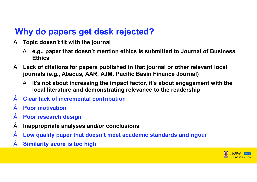#### **Why do papers get desk rejected?**

- **Topic doesn't fit with the journal**
	- **e.g., paper that doesn't mention ethics is submitted to Journal of Business Ethics**
- **Lack of citations for papers published in that journal or other relevant local journals (e.g., Abacus, AAR, AJM, Pacific Basin Finance Journal)**
	- **It's not about increasing the impact factor, it's about engagement with the local literature and demonstrating relevance to the readership**
- **Clear lack of incremental contribution**
- **Poor motivation**
- **Poor research design**
- **Inappropriate analyses and/or conclusions**
- **Low quality paper that doesn't meet academic standards and rigour**
- **Similarity score is too high**

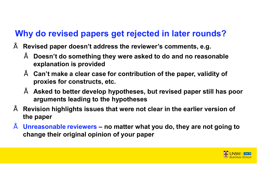### **Why do revised papers get rejected in later rounds?**

- **Revised paper doesn't address the reviewer's comments, e.g.**
	- **Doesn't do something they were asked to do and no reasonable explanation is provided**
	- **Can't make a clear case for contribution of the paper, validity of proxies for constructs, etc.**
	- **Asked to better develop hypotheses, but revised paper still has poor arguments leading to the hypotheses**
- **Revision highlights issues that were not clear in the earlier version of the paper**
- **Unreasonable reviewers – no matter what you do, they are not going to change their original opinion of your paper**

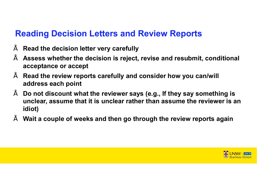#### **Reading Decision Letters and Review Reports**

- **Read the decision letter very carefully**
- **Assess whether the decision is reject, revise and resubmit, conditional acceptance or accept**
- **Read the review reports carefully and consider how you can/will address each point**
- **Do not discount what the reviewer says (e.g., If they say something is unclear, assume that it is unclear rather than assume the reviewer is an idiot)**
- **Wait a couple of weeks and then go through the review reports again**

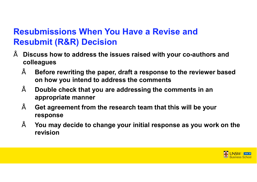### **Resubmissions When You Have a Revise and Resubmit (R&R) Decision**

- **Discuss how to address the issues raised with your co-authors and colleagues**
	- **Before rewriting the paper, draft a response to the reviewer based on how you intend to address the comments**
	- **Double check that you are addressing the comments in an appropriate manner**
	- **Get agreement from the research team that this will be your response**
	- **You may decide to change your initial response as you work on the revision**

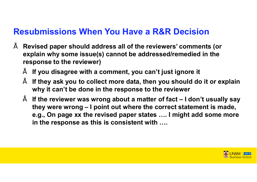#### **Resubmissions When You Have a R&R Decision**

- **Revised paper should address all of the reviewers' comments (or explain why some issue(s) cannot be addressed/remedied in the response to the reviewer)**
	- **If you disagree with a comment, you can't just ignore it**
	- **If they ask you to collect more data, then you should do it or explain why it can't be done in the response to the reviewer**
	- **If the reviewer was wrong about a matter of fact – I don't usually say they were wrong – I point out where the correct statement is made, e.g., On page xx the revised paper states …. I might add some more in the response as this is consistent with ….**

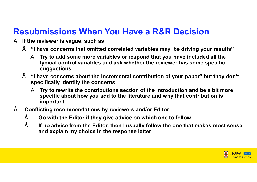### **Resubmissions When You Have a R&R Decision**

- **If the reviewer is vague, such as** 
	- **"I have concerns that omitted correlated variables may be driving your results"**
		- **Try to add some more variables or respond that you have included all the typical control variables and ask whether the reviewer has some specific suggestions**
	- **"I have concerns about the incremental contribution of your paper" but they don't specifically identify the concerns**
		- **Try to rewrite the contributions section of the introduction and be a bit more specific about how you add to the literature and why that contribution is important**
- **Conflicting recommendations by reviewers and/or Editor**
	- **Go with the Editor if they give advice on which one to follow**
	- **If no advice from the Editor, then I usually follow the one that makes most sense and explain my choice in the response letter**

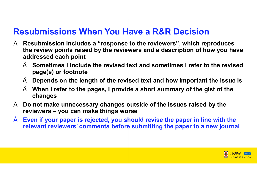#### **Resubmissions When You Have a R&R Decision**

- **Resubmission includes a "response to the reviewers", which reproduces the review points raised by the reviewers and a description of how you have addressed each point**
	- **Sometimes I include the revised text and sometimes I refer to the revised page(s) or footnote**
	- **Depends on the length of the revised text and how important the issue is**
	- **When I refer to the pages, I provide a short summary of the gist of the changes**
- **Do not make unnecessary changes outside of the issues raised by the reviewers – you can make things worse**
- **Even if your paper is rejected, you should revise the paper in line with the relevant reviewers' comments before submitting the paper to a new journal**